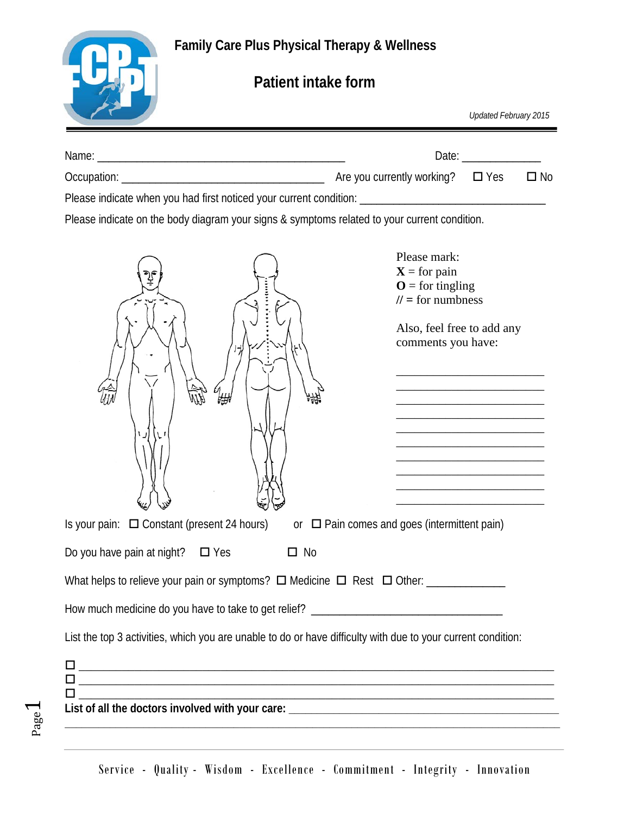**Family Care Plus Physical Therapy & Wellness**



Page  $\overline{\phantom{0}}$ 

## **Patient intake form**

|                                                                                                              | Updated February 2015                                                                                                                                                                                                                                                                                                                                                                                                                                                                                                                                                                                                                                                                                                                                                                                                                                         |
|--------------------------------------------------------------------------------------------------------------|---------------------------------------------------------------------------------------------------------------------------------------------------------------------------------------------------------------------------------------------------------------------------------------------------------------------------------------------------------------------------------------------------------------------------------------------------------------------------------------------------------------------------------------------------------------------------------------------------------------------------------------------------------------------------------------------------------------------------------------------------------------------------------------------------------------------------------------------------------------|
|                                                                                                              | Date: $\frac{1}{\sqrt{1-\frac{1}{2}}\sqrt{1-\frac{1}{2}}\sqrt{1-\frac{1}{2}}\sqrt{1-\frac{1}{2}}\sqrt{1-\frac{1}{2}}\sqrt{1-\frac{1}{2}}\sqrt{1-\frac{1}{2}}\sqrt{1-\frac{1}{2}}\sqrt{1-\frac{1}{2}}\sqrt{1-\frac{1}{2}}\sqrt{1-\frac{1}{2}}\sqrt{1-\frac{1}{2}}\sqrt{1-\frac{1}{2}}\sqrt{1-\frac{1}{2}}\sqrt{1-\frac{1}{2}}\sqrt{1-\frac{1}{2}}\sqrt{1-\frac{1}{2}}\sqrt{1-\frac{1}{2}}\sqrt{1-\frac{1}{2}}$                                                                                                                                                                                                                                                                                                                                                                                                                                                 |
|                                                                                                              | $\square$ No                                                                                                                                                                                                                                                                                                                                                                                                                                                                                                                                                                                                                                                                                                                                                                                                                                                  |
| Please indicate when you had first noticed your current condition: _________________________________         |                                                                                                                                                                                                                                                                                                                                                                                                                                                                                                                                                                                                                                                                                                                                                                                                                                                               |
| Please indicate on the body diagram your signs & symptoms related to your current condition.                 |                                                                                                                                                                                                                                                                                                                                                                                                                                                                                                                                                                                                                                                                                                                                                                                                                                                               |
|                                                                                                              | Please mark:<br>$X = for pain$<br>$\mathbf{O} =$ for tingling<br>$II =$ for numbness<br>Also, feel free to add any<br>comments you have:<br><u> 1980 - Johann John Stone, mars and de final and de final and design and design and design and design and design and design and design and design and design and design and design and design and design and design and desig</u><br><u> 1989 - Johann Harry Harry Harry Harry Harry Harry Harry Harry Harry Harry Harry Harry Harry Harry Harry Harry</u><br><u> 1989 - Johann John Harry Barbara, mars an Indonesia.</u><br><u> 1989 - Johann John Harry Barbara, mars an t-Amerikaansk ferhands (</u><br>the control of the control of the control of the control of the control of<br><u> 1989 - Johann John Stone, mars eta bat eta bat eta bat eta bat eta bat eta bat eta bat eta bat eta bat eta b</u> |
| Is your pain: $\Box$ Constant (present 24 hours)                                                             | or $\Box$ Pain comes and goes (intermittent pain)                                                                                                                                                                                                                                                                                                                                                                                                                                                                                                                                                                                                                                                                                                                                                                                                             |
| Do you have pain at night? $\Box$ Yes<br>$\square$ No                                                        |                                                                                                                                                                                                                                                                                                                                                                                                                                                                                                                                                                                                                                                                                                                                                                                                                                                               |
|                                                                                                              |                                                                                                                                                                                                                                                                                                                                                                                                                                                                                                                                                                                                                                                                                                                                                                                                                                                               |
|                                                                                                              |                                                                                                                                                                                                                                                                                                                                                                                                                                                                                                                                                                                                                                                                                                                                                                                                                                                               |
| List the top 3 activities, which you are unable to do or have difficulty with due to your current condition: |                                                                                                                                                                                                                                                                                                                                                                                                                                                                                                                                                                                                                                                                                                                                                                                                                                                               |
|                                                                                                              | <u> 1989 - Johann Stoff, die besteht aus der Stoffen und der Stoffen und der Stoffen und der Stoffen und der Stoffen</u>                                                                                                                                                                                                                                                                                                                                                                                                                                                                                                                                                                                                                                                                                                                                      |